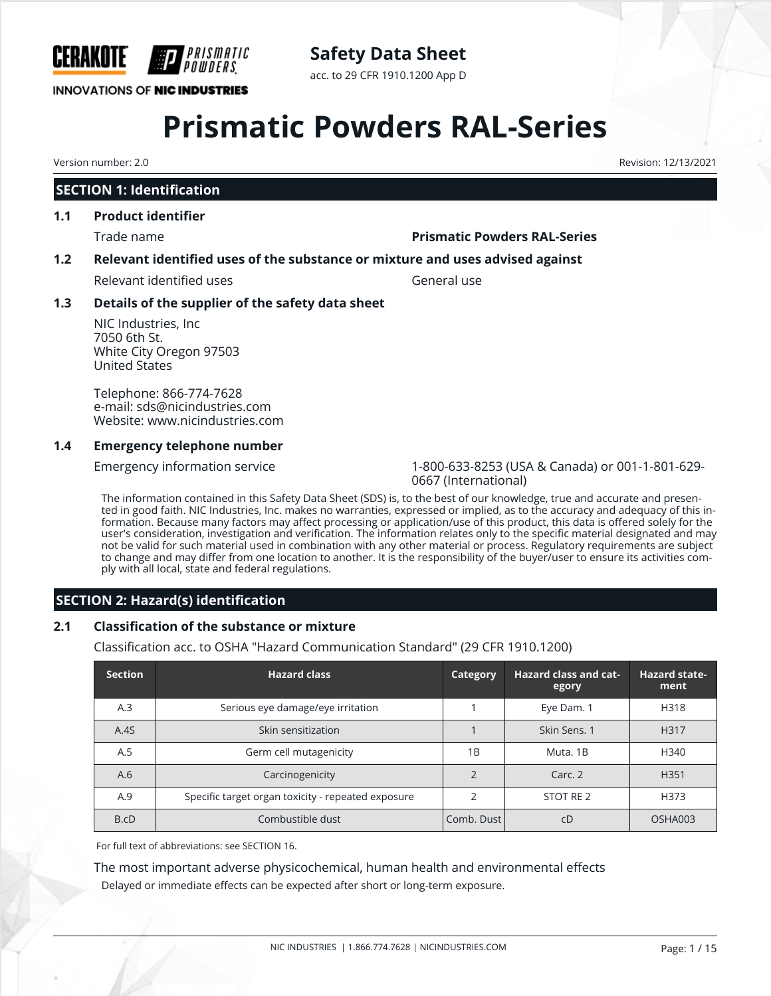

# **Safety Data Sheet**

acc. to 29 CFR 1910.1200 App D

# **Prismatic Powders RAL-Series**

# **SECTION 1: Identification**

#### **1.1 Product identifier**

#### Trade name **Prismatic Powders RAL-Series**

## **1.2 Relevant identified uses of the substance or mixture and uses advised against**

Relevant identified uses General use

## **1.3 Details of the supplier of the safety data sheet**

NIC Industries, Inc 7050 6th St. White City Oregon 97503 United States

Telephone: 866-774-7628 e-mail: sds@nicindustries.com Website: www.nicindustries.com

#### **1.4 Emergency telephone number**

Emergency information service 1-800-633-8253 (USA & Canada) or 001-1-801-629- 0667 (International)

The information contained in this Safety Data Sheet (SDS) is, to the best of our knowledge, true and accurate and presented in good faith. NIC Industries, Inc. makes no warranties, expressed or implied, as to the accuracy and adequacy of this information. Because many factors may affect processing or application/use of this product, this data is offered solely for the user's consideration, investigation and verification. The information relates only to the specific material designated and may not be valid for such material used in combination with any other material or process. Regulatory requirements are subject to change and may differ from one location to another. It is the responsibility of the buyer/user to ensure its activities comply with all local, state and federal regulations.

# **SECTION 2: Hazard(s) identification**

## **2.1 Classification of the substance or mixture**

Classification acc. to OSHA "Hazard Communication Standard" (29 CFR 1910.1200)

| <b>Section</b> | <b>Hazard class</b>                                | Category   | <b>Hazard class and cat-</b><br>egory | <b>Hazard state-</b><br>ment |
|----------------|----------------------------------------------------|------------|---------------------------------------|------------------------------|
| A.3            | Serious eye damage/eye irritation                  |            | Eye Dam. 1                            | H318                         |
| A.4S           | Skin sensitization                                 |            | Skin Sens. 1                          | H317                         |
| A.5            | Germ cell mutagenicity                             | 1B         | Muta, 1B                              | H340                         |
| A.6            | Carcinogenicity                                    |            | Carc. 2                               | H <sub>351</sub>             |
| A.9            | Specific target organ toxicity - repeated exposure |            | STOT RE 2                             | H373                         |
| B.cD           | Combustible dust                                   | Comb. Dust | cD                                    | OSHA003                      |

For full text of abbreviations: see SECTION 16.

The most important adverse physicochemical, human health and environmental effects Delayed or immediate effects can be expected after short or long-term exposure.

Version number: 2.0 Revision: 12/13/2021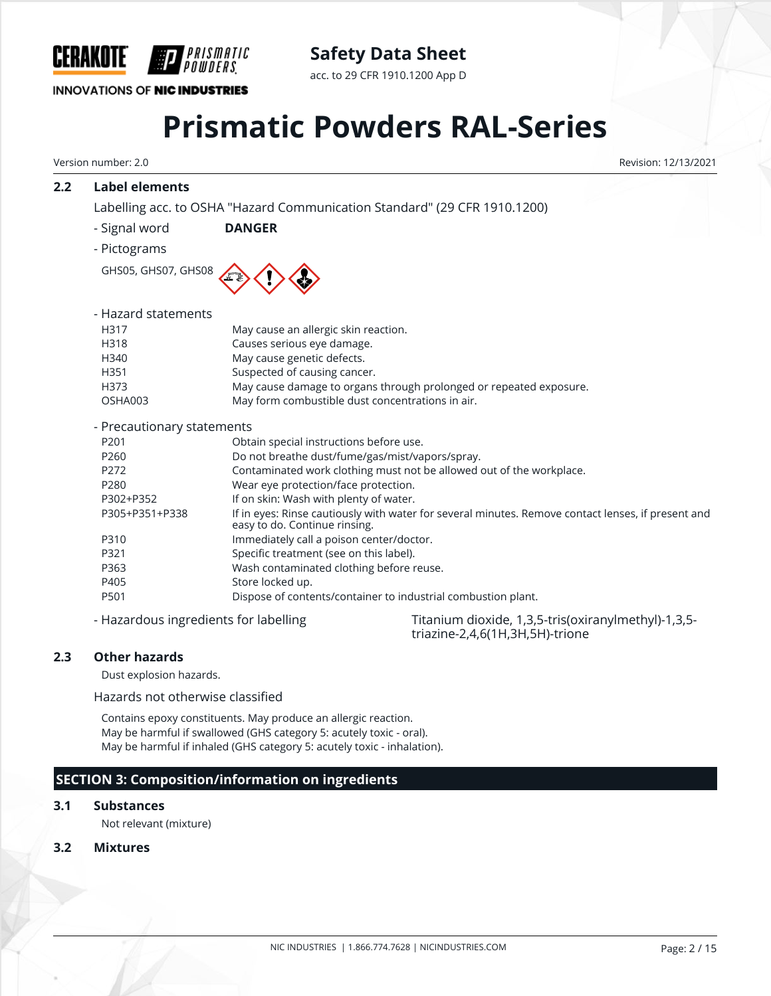

# **Safety Data Sheet**

acc. to 29 CFR 1910.1200 App D

# **Prismatic Powders RAL-Series**

Version number: 2.0 Revision: 12/13/2021

# **2.2 Label elements**

Labelling acc. to OSHA "Hazard Communication Standard" (29 CFR 1910.1200)

- Signal word **DANGER**
- Pictograms

GHS05, GHS07, GHS08



| - Hazard statements      |                                                                    |
|--------------------------|--------------------------------------------------------------------|
| H317                     | May cause an allergic skin reaction.                               |
| H318                     | Causes serious eye damage.                                         |
| H340                     | May cause genetic defects.                                         |
| H351                     | Suspected of causing cancer.                                       |
| H373                     | May cause damage to organs through prolonged or repeated exposure. |
| OSHA003                  | May form combustible dust concentrations in air.                   |
|                          |                                                                    |
| Drocautionary statements |                                                                    |

#### - Precautionary statements

| The causional y statements     |                                                                                                                                     |
|--------------------------------|-------------------------------------------------------------------------------------------------------------------------------------|
| P <sub>201</sub>               | Obtain special instructions before use.                                                                                             |
| P <sub>260</sub>               | Do not breathe dust/fume/gas/mist/vapors/spray.                                                                                     |
| P272                           | Contaminated work clothing must not be allowed out of the workplace.                                                                |
| P280                           | Wear eye protection/face protection.                                                                                                |
| P302+P352                      | If on skin: Wash with plenty of water.                                                                                              |
| P305+P351+P338                 | If in eyes: Rinse cautiously with water for several minutes. Remove contact lenses, if present and<br>easy to do. Continue rinsing. |
| P310                           | Immediately call a poison center/doctor.                                                                                            |
| P321                           | Specific treatment (see on this label).                                                                                             |
| P363                           | Wash contaminated clothing before reuse.                                                                                            |
| P405                           | Store locked up.                                                                                                                    |
| P501                           | Dispose of contents/container to industrial combustion plant.                                                                       |
| $\cdots$ . The set of $\cdots$ |                                                                                                                                     |

- Hazardous ingredients for labelling Titanium dioxide, 1,3,5-tris(oxiranylmethyl)-1,3,5triazine-2,4,6(1H,3H,5H)-trione

# **2.3 Other hazards**

Dust explosion hazards.

Hazards not otherwise classified

Contains epoxy constituents. May produce an allergic reaction. May be harmful if swallowed (GHS category 5: acutely toxic - oral). May be harmful if inhaled (GHS category 5: acutely toxic - inhalation).

# **SECTION 3: Composition/information on ingredients**

## **3.1 Substances**

Not relevant (mixture)

## **3.2 Mixtures**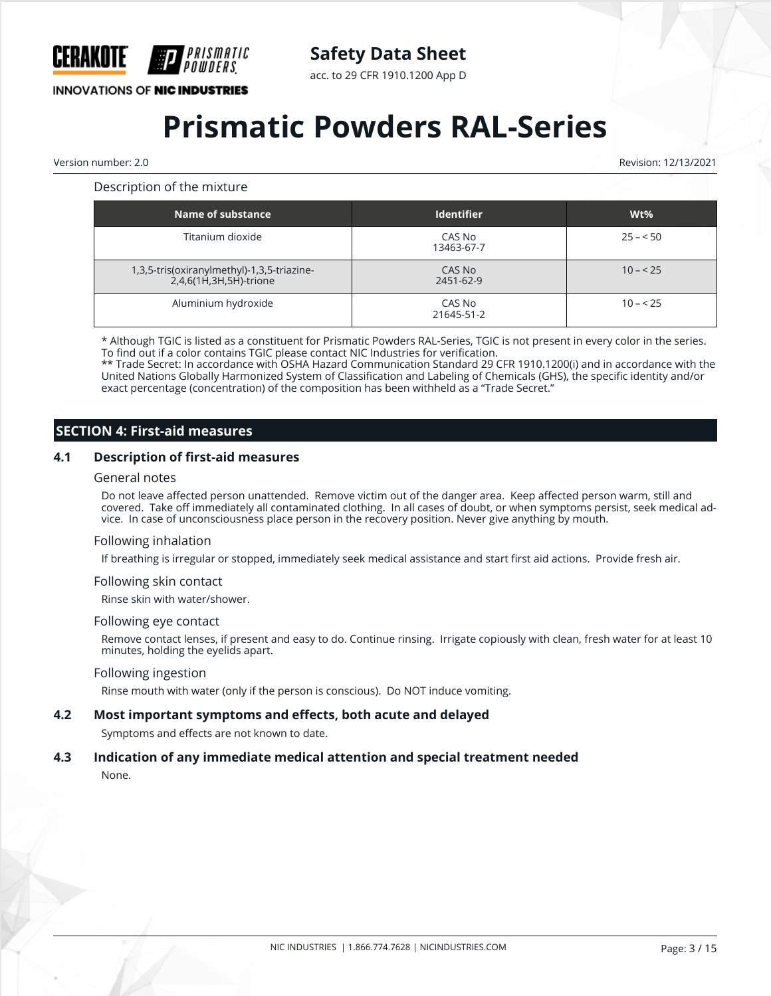

acc. to 29 CFR 1910.1200 App D

# **INNOVATIONS OF NIC INDUSTRIES**

# **Prismatic Powders RAL-Series**

Version number: 2.0 Revision: 12/13/2021

#### Description of the mixture

| Name of substance                                                       | <b>Identifier</b>    | $Wt\%$    |
|-------------------------------------------------------------------------|----------------------|-----------|
| Titanium dioxide                                                        | CAS No<br>13463-67-7 | $25 - 50$ |
| 1,3,5-tris(oxiranylmethyl)-1,3,5-triazine-<br>$2,4,6(1H,3H,5H)$ -trione | CAS No<br>2451-62-9  | $10 - 25$ |
| Aluminium hydroxide                                                     | CAS No<br>21645-51-2 | $10 - 25$ |

\* Although TGIC is listed as a constituent for Prismatic Powders RAL-Series, TGIC is not present in every color in the series. To find out if a color contains TGIC please contact NIC Industries for verification.

\*\* Trade Secret: In accordance with OSHA Hazard Communication Standard 29 CFR 1910.1200(i) and in accordance with the United Nations Globally Harmonized System of Classification and Labeling of Chemicals (GHS), the specific identity and/or exact percentage (concentration) of the composition has been withheld as a "Trade Secret."

# **SECTION 4: First-aid measures**

#### **4.1 Description of first-aid measures**

#### General notes

Do not leave affected person unattended. Remove victim out of the danger area. Keep affected person warm, still and covered. Take off immediately all contaminated clothing. In all cases of doubt, or when symptoms persist, seek medical advice. In case of unconsciousness place person in the recovery position. Never give anything by mouth.

#### Following inhalation

If breathing is irregular or stopped, immediately seek medical assistance and start first aid actions. Provide fresh air.

#### Following skin contact

Rinse skin with water/shower.

#### Following eye contact

Remove contact lenses, if present and easy to do. Continue rinsing. Irrigate copiously with clean, fresh water for at least 10 minutes, holding the eyelids apart.

#### Following ingestion

Rinse mouth with water (only if the person is conscious). Do NOT induce vomiting.

#### **4.2 Most important symptoms and effects, both acute and delayed**

Symptoms and effects are not known to date.

# **4.3 Indication of any immediate medical attention and special treatment needed**

None.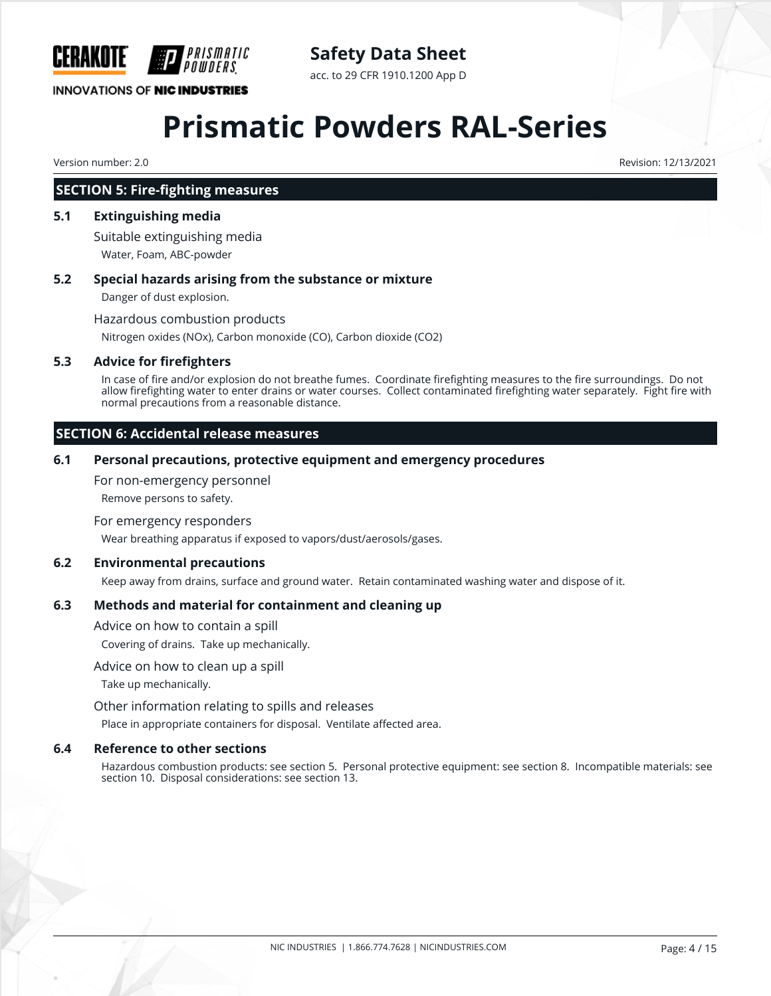

# **Safety Data Sheet**

acc. to 29 CFR 1910.1200 App D

# **Prismatic Powders RAL-Series**

Version number: 2.0 Revision: 12/13/2021

## **SECTION 5: Fire-fighting measures**

#### **5.1 Extinguishing media**

Suitable extinguishing media Water, Foam, ABC-powder

#### **5.2 Special hazards arising from the substance or mixture**

Danger of dust explosion.

Hazardous combustion products

Nitrogen oxides (NOx), Carbon monoxide (CO), Carbon dioxide (CO2)

#### **5.3 Advice for firefighters**

In case of fire and/or explosion do not breathe fumes. Coordinate firefighting measures to the fire surroundings. Do not allow firefighting water to enter drains or water courses. Collect contaminated firefighting water separately. Fight fire with normal precautions from a reasonable distance.

## **SECTION 6: Accidental release measures**

#### **6.1 Personal precautions, protective equipment and emergency procedures**

For non-emergency personnel

Remove persons to safety.

#### For emergency responders

Wear breathing apparatus if exposed to vapors/dust/aerosols/gases.

#### **6.2 Environmental precautions**

Keep away from drains, surface and ground water. Retain contaminated washing water and dispose of it.

## **6.3 Methods and material for containment and cleaning up**

Advice on how to contain a spill

Covering of drains. Take up mechanically.

#### Advice on how to clean up a spill

Take up mechanically.

Other information relating to spills and releases

Place in appropriate containers for disposal. Ventilate affected area.

#### **6.4 Reference to other sections**

Hazardous combustion products: see section 5. Personal protective equipment: see section 8. Incompatible materials: see section 10. Disposal considerations: see section 13.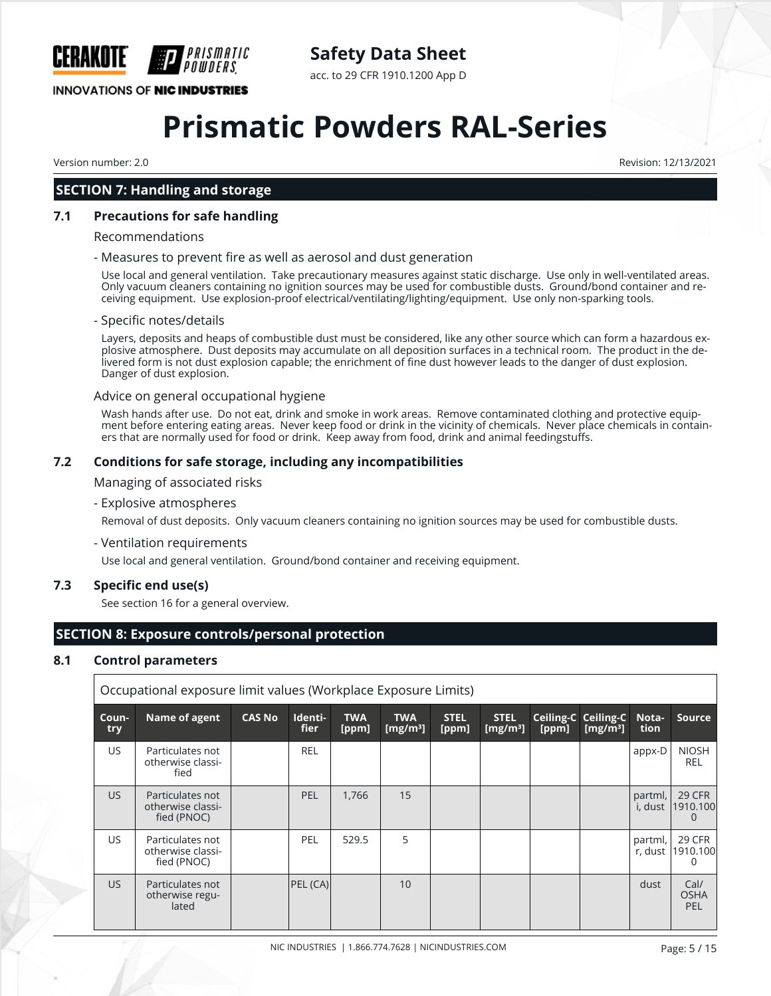

# **Safety Data Sheet**

acc. to 29 CFR 1910.1200 App D

# **Prismatic Powders RAL-Series**

Version number: 2.0 Revision: 12/13/2021

# **SECTION 7: Handling and storage**

#### **7.1 Precautions for safe handling**

#### Recommendations

#### - Measures to prevent fire as well as aerosol and dust generation

Use local and general ventilation. Take precautionary measures against static discharge. Use only in well-ventilated areas. Only vacuum cleaners containing no ignition sources may be used for combustible dusts. Ground/bond container and receiving equipment. Use explosion-proof electrical/ventilating/lighting/equipment. Use only non-sparking tools.

#### - Specific notes/details

Layers, deposits and heaps of combustible dust must be considered, like any other source which can form a hazardous explosive atmosphere. Dust deposits may accumulate on all deposition surfaces in a technical room. The product in the delivered form is not dust explosion capable; the enrichment of fine dust however leads to the danger of dust explosion. Danger of dust explosion.

#### Advice on general occupational hygiene

Wash hands after use. Do not eat, drink and smoke in work areas. Remove contaminated clothing and protective equipment before entering eating areas. Never keep food or drink in the vicinity of chemicals. Never place chemicals in containers that are normally used for food or drink. Keep away from food, drink and animal feedingstuffs.

#### **7.2 Conditions for safe storage, including any incompatibilities**

Managing of associated risks

#### - Explosive atmospheres

Removal of dust deposits. Only vacuum cleaners containing no ignition sources may be used for combustible dusts.

- Ventilation requirements

Use local and general ventilation. Ground/bond container and receiving equipment.

#### **7.3 Specific end use(s)**

See section 16 for a general overview.

# **SECTION 8: Exposure controls/personal protection**

## **8.1 Control parameters**

| Occupational exposure limit values (Workplace Exposure Limits) |                                                      |               |                 |                     |                           |                      |                            |       |                                           |                    |                            |
|----------------------------------------------------------------|------------------------------------------------------|---------------|-----------------|---------------------|---------------------------|----------------------|----------------------------|-------|-------------------------------------------|--------------------|----------------------------|
| Coun-<br>try                                                   | Name of agent                                        | <b>CAS No</b> | Identi-<br>fier | <b>TWA</b><br>[ppm] | <b>TWA</b><br>[ $mg/m3$ ] | <b>STEL</b><br>[ppm] | <b>STEL</b><br>[ $mg/m3$ ] | [ppm] | <b>Ceiling-C Ceiling-C</b><br>[ $mg/m3$ ] | Nota-<br>tion      | <b>Source</b>              |
| US.                                                            | Particulates not<br>otherwise classi-<br>fied        |               | <b>REL</b>      |                     |                           |                      |                            |       |                                           | appx-D             | <b>NIOSH</b><br><b>REL</b> |
| US.                                                            | Particulates not<br>otherwise classi-<br>fied (PNOC) |               | <b>PEL</b>      | 1.766               | 15                        |                      |                            |       |                                           | partml,<br>i, dust | 29 CFR<br>1910.100         |
| US.                                                            | Particulates not<br>otherwise classi-<br>fied (PNOC) |               | PEL             | 529.5               | 5                         |                      |                            |       |                                           | partml,<br>r, dust | 29 CFR<br>1910.100<br>0    |
| <b>US</b>                                                      | Particulates not<br>otherwise regu-<br>lated         |               | PEL (CA)        |                     | 10                        |                      |                            |       |                                           | dust               | Cal/<br><b>OSHA</b><br>PEL |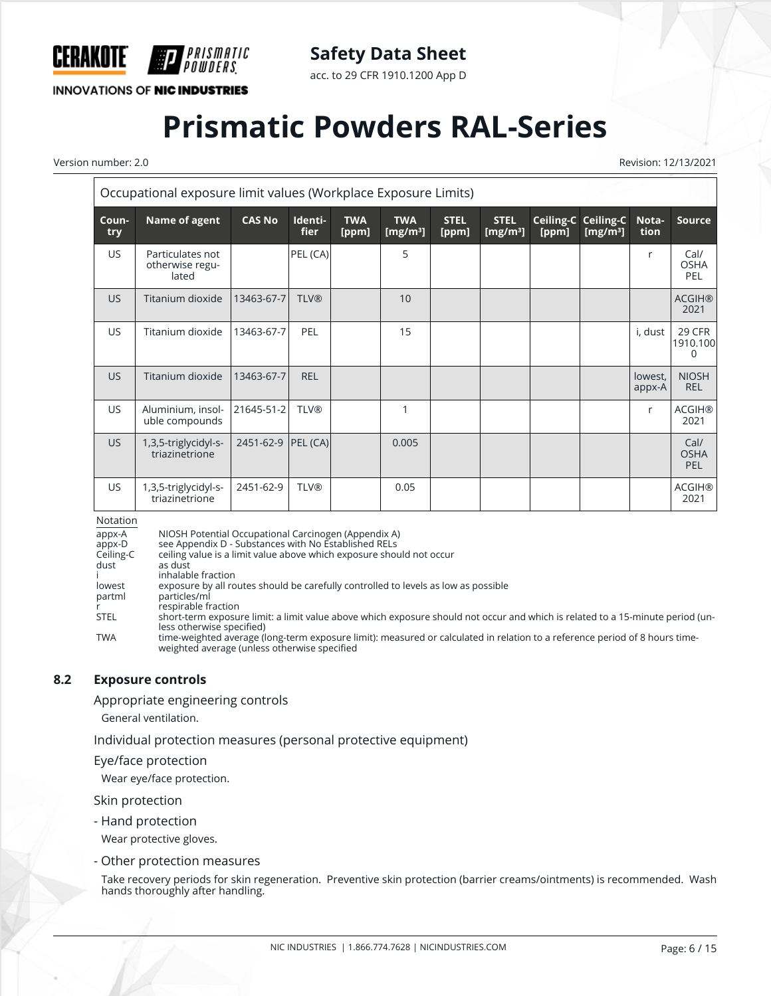

acc. to 29 CFR 1910.1200 App D

**INNOVATIONS OF NIC INDUSTRIES** 

# **Prismatic Powders RAL-Series**

Version number: 2.0 Revision: 12/13/2021

| Occupational exposure limit values (Workplace Exposure Limits) |                                              |               |                        |                     |                           |                      |                                     |                    |                          |                   |                                   |
|----------------------------------------------------------------|----------------------------------------------|---------------|------------------------|---------------------|---------------------------|----------------------|-------------------------------------|--------------------|--------------------------|-------------------|-----------------------------------|
| Coun-<br>try                                                   | Name of agent                                | <b>CAS No</b> | Identi-<br><b>fier</b> | <b>TWA</b><br>[ppm] | <b>TWA</b><br>[ $mg/m3$ ] | <b>STEL</b><br>[ppm] | <b>STEL</b><br>[mg/m <sup>3</sup> ] | Ceiling-C<br>[ppm] | Ceiling-C<br>[ $mg/m3$ ] | Nota-<br>tion     | <b>Source</b>                     |
| <b>US</b>                                                      | Particulates not<br>otherwise regu-<br>lated |               | PEL (CA)               |                     | 5                         |                      |                                     |                    |                          | r                 | Cal/<br><b>OSHA</b><br><b>PEL</b> |
| US.                                                            | Titanium dioxide                             | 13463-67-7    | <b>TLV®</b>            |                     | 10                        |                      |                                     |                    |                          |                   | <b>ACGIH®</b><br>2021             |
| US.                                                            | Titanium dioxide                             | 13463-67-7    | PEL                    |                     | 15                        |                      |                                     |                    |                          | i, dust           | 29 CFR<br>1910.100<br>$\Omega$    |
| US.                                                            | Titanium dioxide                             | 13463-67-7    | <b>REL</b>             |                     |                           |                      |                                     |                    |                          | lowest,<br>appx-A | <b>NIOSH</b><br><b>REL</b>        |
| US                                                             | Aluminium, insol-<br>uble compounds          | 21645-51-2    | <b>TLV®</b>            |                     | 1                         |                      |                                     |                    |                          | r                 | <b>ACGIH®</b><br>2021             |
| US                                                             | 1,3,5-triglycidyl-s-<br>triazinetrione       | 2451-62-9     | PEL(CA)                |                     | 0.005                     |                      |                                     |                    |                          |                   | Cal/<br><b>OSHA</b><br><b>PEL</b> |
| US                                                             | 1,3,5-triglycidyl-s-<br>triazinetrione       | 2451-62-9     | <b>TLV®</b>            |                     | 0.05                      |                      |                                     |                    |                          |                   | <b>ACGIH®</b><br>2021             |

Notation

appx-A NIOSH Potential Occupational Carcinogen (Appendix A)<br>appx-D see Appendix D - Substances with No Established RELs appx-D see Appendix D - Substances with No Established RELs<br>Ceiling-C ceiling value is a limit value above which exposure shou Ceiling-C ceiling value is a limit value above which exposure should not occur dust as dust i inhalable fraction<br>lowest exposure by all ro lowest exposure by all routes should be carefully controlled to levels as low as possible particles/ml particles/ml in the respirable fraction<br>STEL short-term exposu short-term exposure limit: a limit value above which exposure should not occur and which is related to a 15-minute period (unless otherwise specified) TWA time-weighted average (long-term exposure limit): measured or calculated in relation to a reference period of 8 hours timeweighted average (unless otherwise specified

## **8.2 Exposure controls**

Appropriate engineering controls

General ventilation.

Individual protection measures (personal protective equipment)

#### Eye/face protection

Wear eye/face protection.

Skin protection

- Hand protection

Wear protective gloves.

- Other protection measures

Take recovery periods for skin regeneration. Preventive skin protection (barrier creams/ointments) is recommended. Wash hands thoroughly after handling.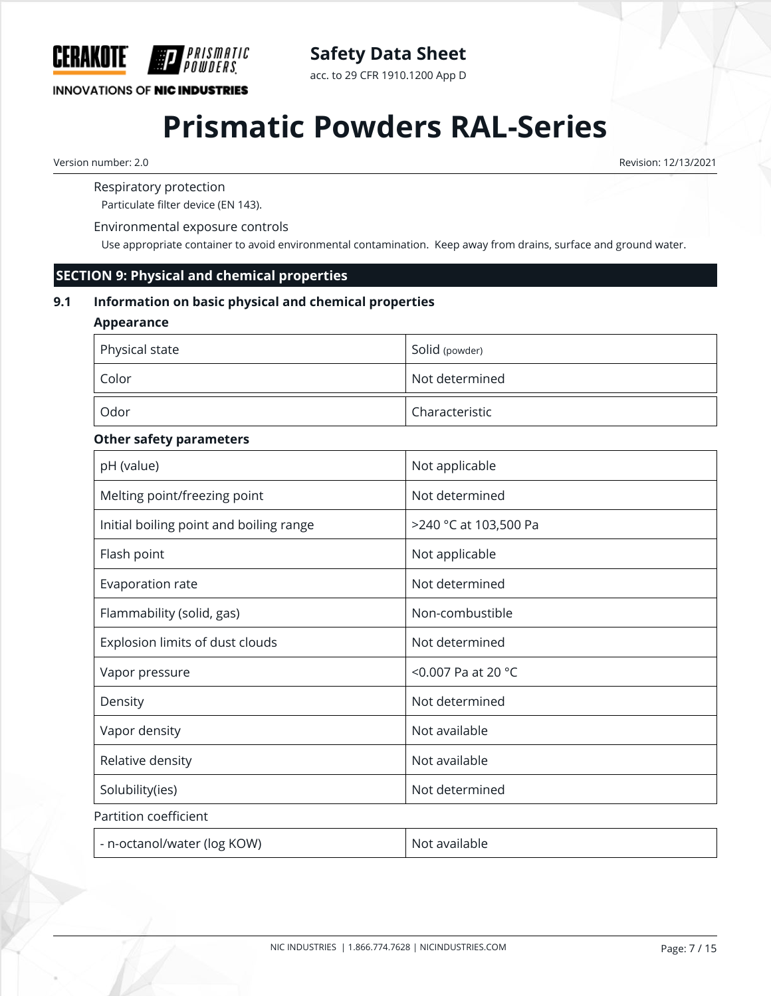

acc. to 29 CFR 1910.1200 App D

# **INNOVATIONS OF NIC INDUSTRIES**

# **Prismatic Powders RAL-Series**

Version number: 2.0 Revision: 12/13/2021

Respiratory protection

Particulate filter device (EN 143).

Environmental exposure controls

Use appropriate container to avoid environmental contamination. Keep away from drains, surface and ground water.

## **SECTION 9: Physical and chemical properties**

## **9.1 Information on basic physical and chemical properties**

## **Appearance**

| Physical state | Solid (powder)              |
|----------------|-----------------------------|
| Color          | Not determined              |
| Odor           | <sup>1</sup> Characteristic |

## **Other safety parameters**

| pH (value)                              | Not applicable        |
|-----------------------------------------|-----------------------|
| Melting point/freezing point            | Not determined        |
| Initial boiling point and boiling range | >240 °C at 103,500 Pa |
| Flash point                             | Not applicable        |
| Evaporation rate                        | Not determined        |
| Flammability (solid, gas)               | Non-combustible       |
| Explosion limits of dust clouds         | Not determined        |
| Vapor pressure                          | <0.007 Pa at 20 °C    |
| Density                                 | Not determined        |
| Vapor density                           | Not available         |
| Relative density                        | Not available         |
| Solubility(ies)                         | Not determined        |
| Partition coefficient                   |                       |
| - n-octanol/water (log KOW)             | Not available         |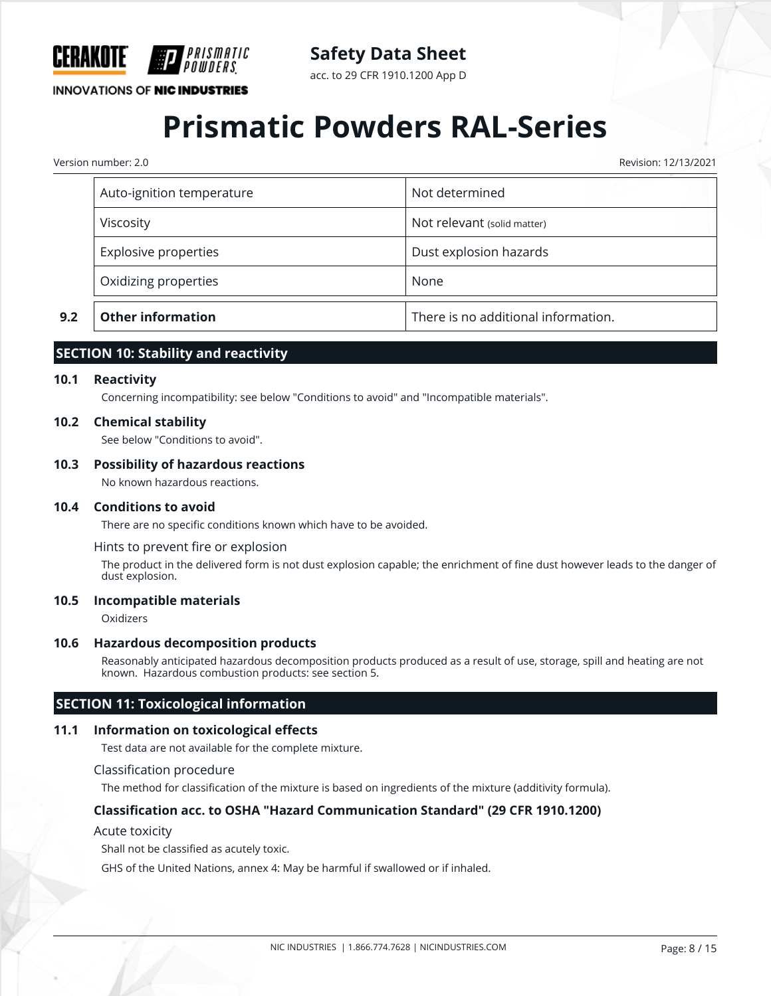

acc. to 29 CFR 1910.1200 App D

## **INNOVATIONS OF NIC INDUSTRIES**

# **Prismatic Powders RAL-Series**

Version number: 2.0 Revision: 12/13/2021

| Oxidizing properties      | None                        |
|---------------------------|-----------------------------|
| Explosive properties      | Dust explosion hazards      |
| Viscosity                 | Not relevant (solid matter) |
| Auto-ignition temperature | Not determined              |

# **SECTION 10: Stability and reactivity**

#### **10.1 Reactivity**

Concerning incompatibility: see below "Conditions to avoid" and "Incompatible materials".

#### **10.2 Chemical stability**

See below "Conditions to avoid".

#### **10.3 Possibility of hazardous reactions**

No known hazardous reactions.

#### **10.4 Conditions to avoid**

There are no specific conditions known which have to be avoided.

Hints to prevent fire or explosion

The product in the delivered form is not dust explosion capable; the enrichment of fine dust however leads to the danger of dust explosion.

#### **10.5 Incompatible materials**

Oxidizers

#### **10.6 Hazardous decomposition products**

Reasonably anticipated hazardous decomposition products produced as a result of use, storage, spill and heating are not known. Hazardous combustion products: see section 5.

### **SECTION 11: Toxicological information**

#### **11.1 Information on toxicological effects**

Test data are not available for the complete mixture.

#### Classification procedure

The method for classification of the mixture is based on ingredients of the mixture (additivity formula).

#### **Classification acc. to OSHA "Hazard Communication Standard" (29 CFR 1910.1200)**

#### Acute toxicity

Shall not be classified as acutely toxic.

GHS of the United Nations, annex 4: May be harmful if swallowed or if inhaled.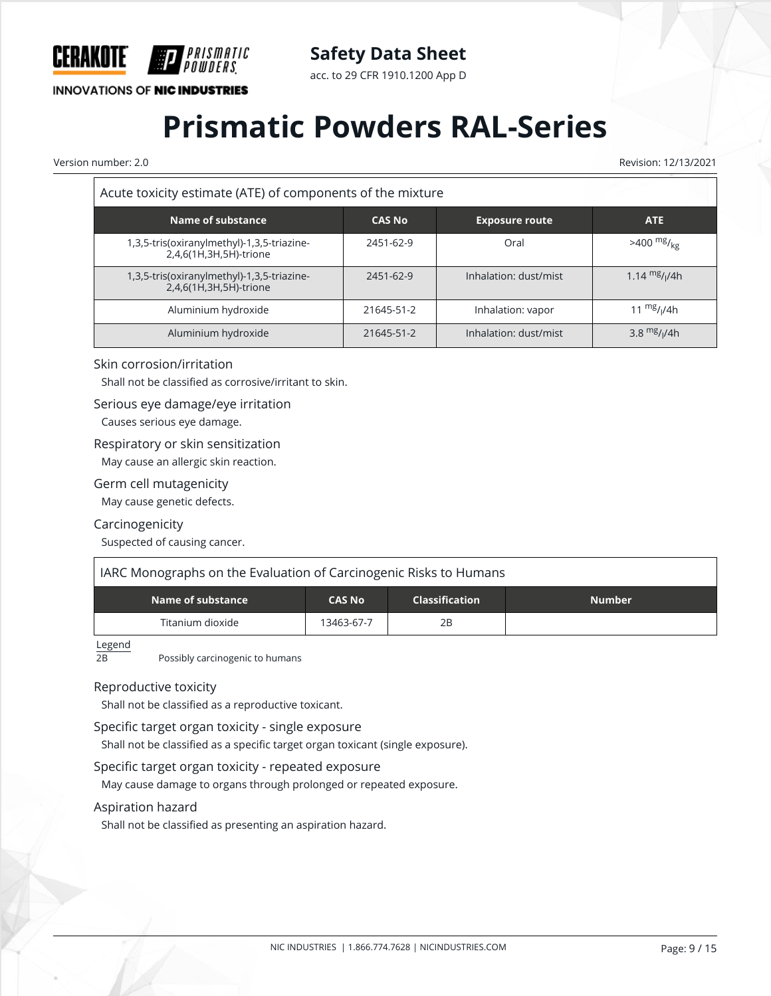

# **Safety Data Sheet**

acc. to 29 CFR 1910.1200 App D

# **Prismatic Powders RAL-Series**

Version number: 2.0 Revision: 12/13/2021

| Acute toxicity estimate (ATE) of components of the mixture           |               |                       |                          |  |  |  |
|----------------------------------------------------------------------|---------------|-----------------------|--------------------------|--|--|--|
| <b>Name of substance</b>                                             | <b>CAS No</b> | <b>Exposure route</b> | ATE                      |  |  |  |
| 1,3,5-tris(oxiranylmethyl)-1,3,5-triazine-<br>2,4,6(1H,3H,5H)-trione | 2451-62-9     | Oral                  | $>400$ mg/ <sub>kg</sub> |  |  |  |
| 1,3,5-tris(oxiranylmethyl)-1,3,5-triazine-<br>2,4,6(1H,3H,5H)-trione | 2451-62-9     | Inhalation: dust/mist | 1.14 $mg/1/4h$           |  |  |  |
| Aluminium hydroxide                                                  | 21645-51-2    | Inhalation: vapor     | 11 $\frac{mg}{l}$ //4h   |  |  |  |
| Aluminium hydroxide                                                  | 21645-51-2    | Inhalation: dust/mist | 3.8 $mg/1/4h$            |  |  |  |

#### Skin corrosion/irritation

Shall not be classified as corrosive/irritant to skin.

#### Serious eye damage/eye irritation

Causes serious eye damage.

#### Respiratory or skin sensitization

May cause an allergic skin reaction.

#### Germ cell mutagenicity

May cause genetic defects.

#### Carcinogenicity

Suspected of causing cancer.

#### IARC Monographs on the Evaluation of Carcinogenic Risks to Humans

| $\blacksquare$ Name of substance $\blacksquare$ | <b>CAS No</b> | <b>Classification</b> | <b>Number</b> |
|-------------------------------------------------|---------------|-----------------------|---------------|
| Titanium dioxide                                | 13463-67-7    | 2B                    |               |

 $Legend$ <sub>2B</sub>

Possibly carcinogenic to humans

#### Reproductive toxicity

Shall not be classified as a reproductive toxicant.

#### Specific target organ toxicity - single exposure

Shall not be classified as a specific target organ toxicant (single exposure).

#### Specific target organ toxicity - repeated exposure

May cause damage to organs through prolonged or repeated exposure.

#### Aspiration hazard

Shall not be classified as presenting an aspiration hazard.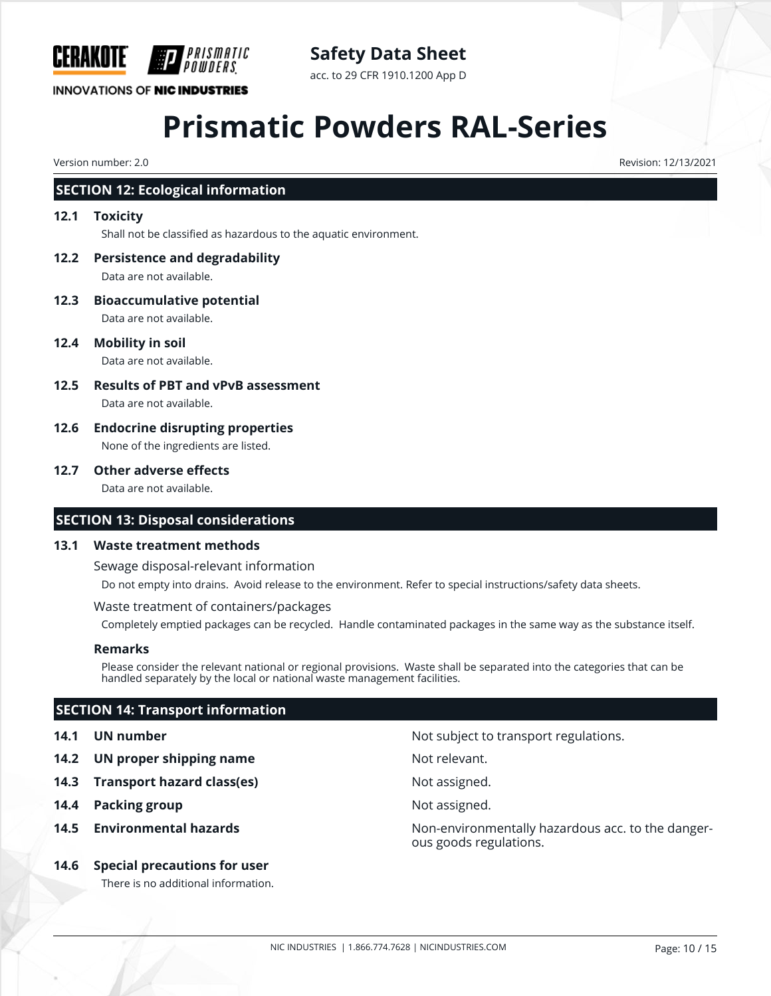

# **Safety Data Sheet**

acc. to 29 CFR 1910.1200 App D

# **Prismatic Powders RAL-Series**

Version number: 2.0 Revision: 12/13/2021

# **SECTION 12: Ecological information**

#### **12.1 Toxicity**

Shall not be classified as hazardous to the aquatic environment.

- **12.2 Persistence and degradability** Data are not available.
- **12.3 Bioaccumulative potential** Data are not available.
- **12.4 Mobility in soil**

Data are not available.

- **12.5 Results of PBT and vPvB assessment** Data are not available.
- **12.6 Endocrine disrupting properties** None of the ingredients are listed.

## **12.7 Other adverse effects**

Data are not available.

## **SECTION 13: Disposal considerations**

#### **13.1 Waste treatment methods**

Sewage disposal-relevant information

Do not empty into drains. Avoid release to the environment. Refer to special instructions/safety data sheets.

Waste treatment of containers/packages

Completely emptied packages can be recycled. Handle contaminated packages in the same way as the substance itself.

#### **Remarks**

Please consider the relevant national or regional provisions. Waste shall be separated into the categories that can be handled separately by the local or national waste management facilities.

# **SECTION 14: Transport information**

- **14.2 UN proper shipping name** Not relevant.
- **14.3 Transport hazard class(es)** Not assigned.
- **14.4 Packing group 14.4 Packing group**
- 
- **14.6 Special precautions for user**

There is no additional information.

**14.1 UN number 14.1 UN** number

**14.5 Environmental hazards Non-environmentally hazardous acc. to the danger**ous goods regulations.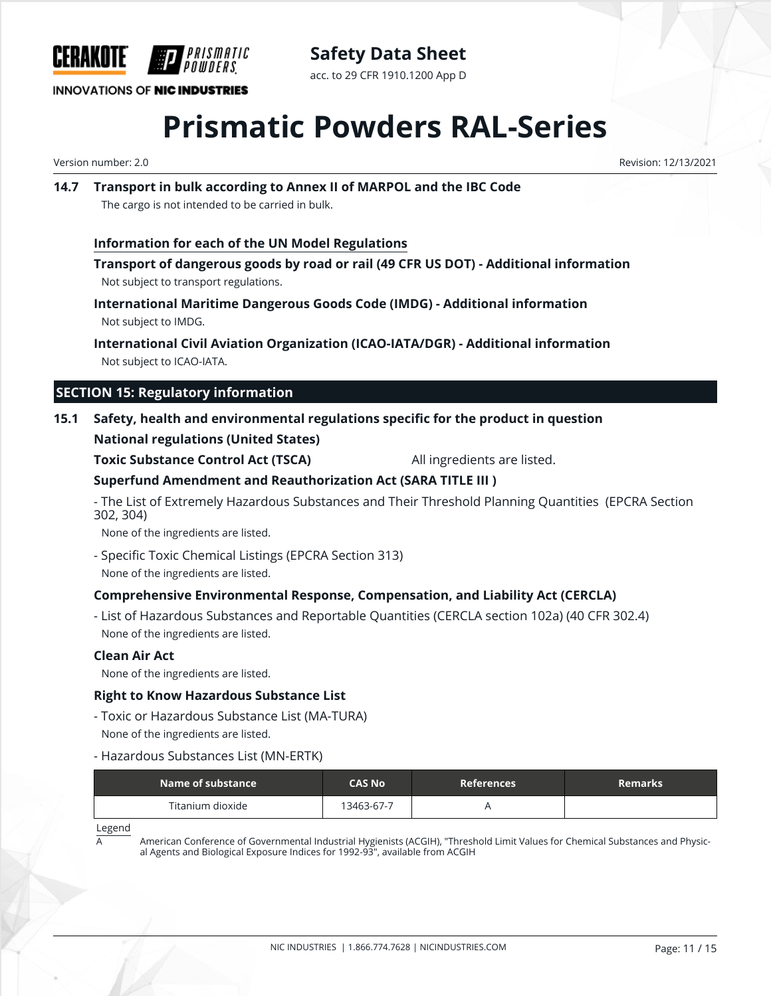

**Safety Data Sheet** acc. to 29 CFR 1910.1200 App D

**INNOVATIONS OF NIC INDUSTRIES** 

# **Prismatic Powders RAL-Series**

Version number: 2.0 Revision: 12/13/2021

## **14.7 Transport in bulk according to Annex II of MARPOL and the IBC Code** The cargo is not intended to be carried in bulk.

## **Information for each of the UN Model Regulations**

**Transport of dangerous goods by road or rail (49 CFR US DOT) - Additional information** Not subject to transport regulations.

**International Maritime Dangerous Goods Code (IMDG) - Additional information** Not subject to IMDG.

# **International Civil Aviation Organization (ICAO-IATA/DGR) - Additional information**

Not subject to ICAO-IATA.

# **SECTION 15: Regulatory information**

## **15.1 Safety, health and environmental regulations specific for the product in question**

## **National regulations (United States)**

**Toxic Substance Control Act (TSCA)** All ingredients are listed.

# **Superfund Amendment and Reauthorization Act (SARA TITLE III )**

- The List of Extremely Hazardous Substances and Their Threshold Planning Quantities (EPCRA Section 302, 304)

None of the ingredients are listed.

- Specific Toxic Chemical Listings (EPCRA Section 313) None of the ingredients are listed.

# **Comprehensive Environmental Response, Compensation, and Liability Act (CERCLA)**

- List of Hazardous Substances and Reportable Quantities (CERCLA section 102a) (40 CFR 302.4) None of the ingredients are listed.

## **Clean Air Act**

None of the ingredients are listed.

## **Right to Know Hazardous Substance List**

- Toxic or Hazardous Substance List (MA-TURA)

None of the ingredients are listed.

- Hazardous Substances List (MN-ERTK)

| Name of substance | CAS No     | <b>References</b> | <b>Remarks</b> |
|-------------------|------------|-------------------|----------------|
| Titanium dioxide  | 13463-67-7 |                   |                |

Legend

American Conference of Governmental Industrial Hygienists (ACGIH), "Threshold Limit Values for Chemical Substances and Physical Agents and Biological Exposure Indices for 1992-93", available from ACGIH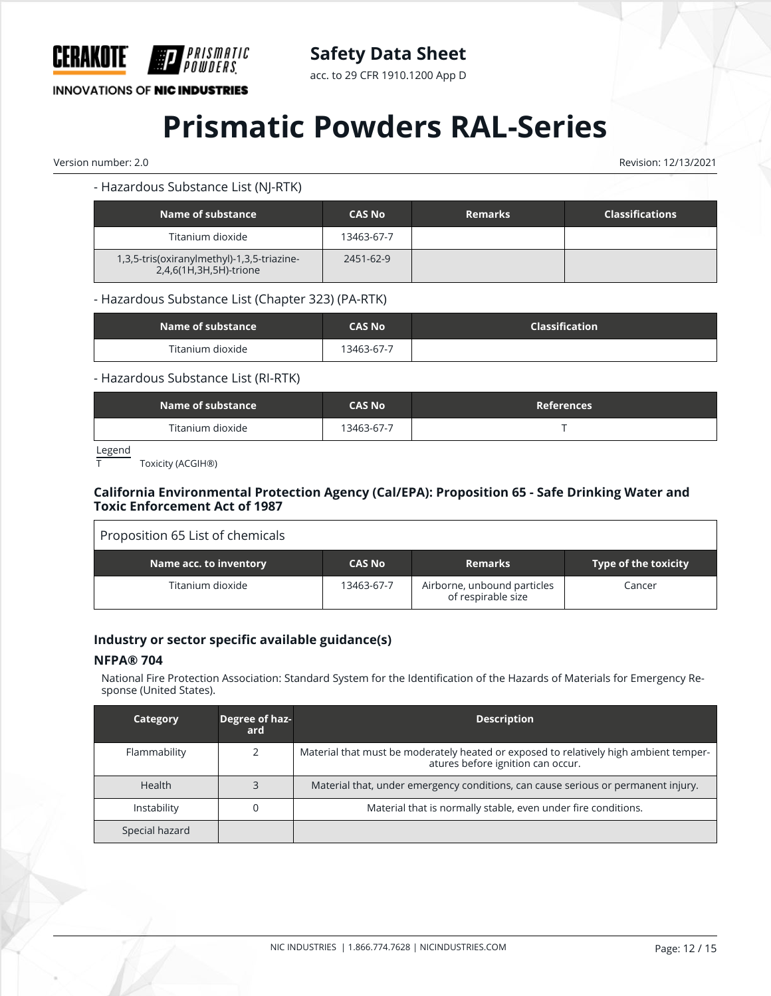

acc. to 29 CFR 1910.1200 App D

# **INNOVATIONS OF NIC INDUSTRIES**

# **Prismatic Powders RAL-Series**

Version number: 2.0 Revision: 12/13/2021

#### - Hazardous Substance List (NJ-RTK)

| Name of substance                                                    | <b>CAS No</b> | <b>Remarks</b> | <b>Classifications</b> |
|----------------------------------------------------------------------|---------------|----------------|------------------------|
| Titanium dioxide                                                     | 13463-67-7    |                |                        |
| 1,3,5-tris(oxiranylmethyl)-1,3,5-triazine-<br>2,4,6(1H,3H,5H)-trione | 2451-62-9     |                |                        |

#### - Hazardous Substance List (Chapter 323) (PA-RTK)

| Name of substance | <b>CAS No</b> | Classification |
|-------------------|---------------|----------------|
| Titanium dioxide  | 13463-67-7    |                |

#### - Hazardous Substance List (RI-RTK)

| Name of substance | <b>CAS No</b> | <b>References</b> |
|-------------------|---------------|-------------------|
| Titanium dioxide  | 13463-67-7    |                   |

 $Legend  
 $\overline{T}$$ </u>

Toxicity (ACGIH®)

### **California Environmental Protection Agency (Cal/EPA): Proposition 65 - Safe Drinking Water and Toxic Enforcement Act of 1987**

| Proposition 65 List of chemicals |               |                                                   |                             |
|----------------------------------|---------------|---------------------------------------------------|-----------------------------|
| Name acc. to inventory           | <b>CAS No</b> | <b>Remarks</b>                                    | <b>Type of the toxicity</b> |
| Titanium dioxide                 | 13463-67-7    | Airborne, unbound particles<br>of respirable size | Cancer                      |

## **Industry or sector specific available guidance(s)**

#### **NFPA® 704**

National Fire Protection Association: Standard System for the Identification of the Hazards of Materials for Emergency Response (United States).

| Category       | Degree of haz-<br>ard. | <b>Description</b>                                                                                                         |
|----------------|------------------------|----------------------------------------------------------------------------------------------------------------------------|
| Flammability   |                        | Material that must be moderately heated or exposed to relatively high ambient temper-<br>atures before ignition can occur. |
| Health         |                        | Material that, under emergency conditions, can cause serious or permanent injury.                                          |
| Instability    |                        | Material that is normally stable, even under fire conditions.                                                              |
| Special hazard |                        |                                                                                                                            |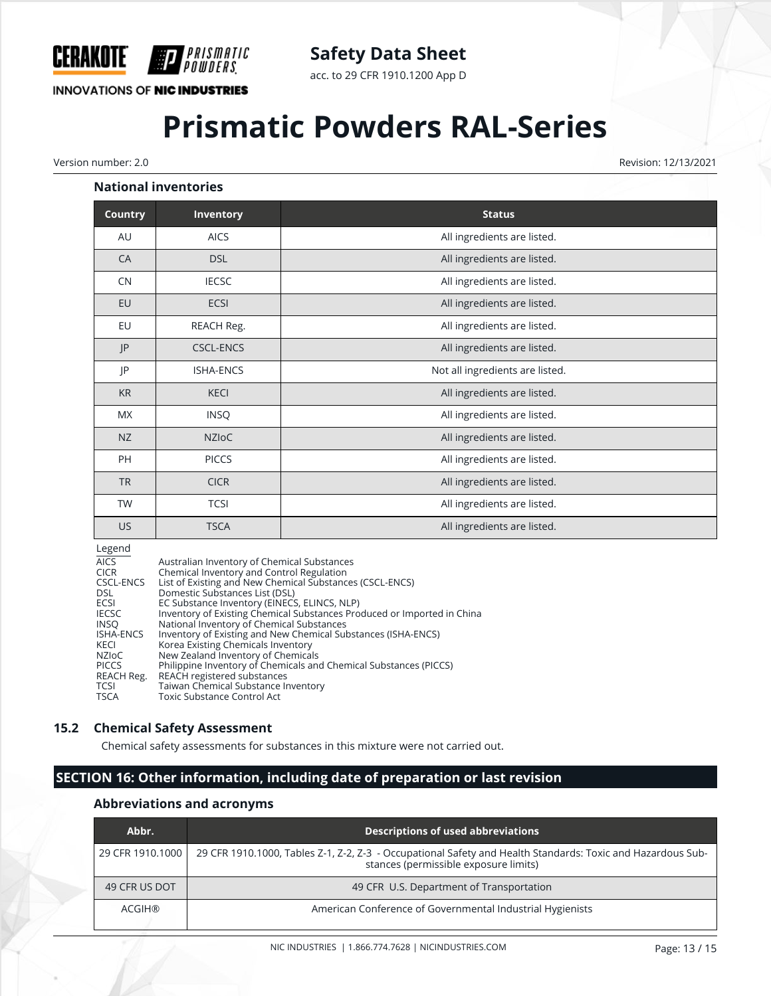

acc. to 29 CFR 1910.1200 App D

# **INNOVATIONS OF NIC INDUSTRIES**

# **Prismatic Powders RAL-Series**

Version number: 2.0 Revision: 12/13/2021

#### **National inventories**

| <b>Country</b> | <b>Inventory</b> | <b>Status</b>                   |
|----------------|------------------|---------------------------------|
| AU             | <b>AICS</b>      | All ingredients are listed.     |
| CA             | <b>DSL</b>       | All ingredients are listed.     |
| CN             | <b>IECSC</b>     | All ingredients are listed.     |
| EU             | ECSI             | All ingredients are listed.     |
| EU             | REACH Reg.       | All ingredients are listed.     |
| P              | <b>CSCL-ENCS</b> | All ingredients are listed.     |
| JP             | <b>ISHA-ENCS</b> | Not all ingredients are listed. |
| <b>KR</b>      | <b>KECI</b>      | All ingredients are listed.     |
| <b>MX</b>      | <b>INSQ</b>      | All ingredients are listed.     |
| NZ             | <b>NZIOC</b>     | All ingredients are listed.     |
| <b>PH</b>      | <b>PICCS</b>     | All ingredients are listed.     |
| <b>TR</b>      | <b>CICR</b>      | All ingredients are listed.     |
| TW             | <b>TCSI</b>      | All ingredients are listed.     |
| US             | <b>TSCA</b>      | All ingredients are listed.     |

#### Legend

| <b>AICS</b>      | Australian Inventory of Chemical Substances                             |
|------------------|-------------------------------------------------------------------------|
| <b>CICR</b>      | Chemical Inventory and Control Regulation                               |
| CSCL-ENCS        | List of Existing and New Chemical Substances (CSCL-ENCS)                |
| DSL.             | Domestic Substances List (DSL)                                          |
| ECSI             | EC Substance Inventory (EINECS, ELINCS, NLP)                            |
| <b>IECSC</b>     | Inventory of Existing Chemical Substances Produced or Imported in China |
| <b>INSO</b>      | National Inventory of Chemical Substances                               |
| <b>ISHA-ENCS</b> | Inventory of Existing and New Chemical Substances (ISHA-ENCS)           |
| KECI             | Korea Existing Chemicals Inventory                                      |
| NZIoC            | New Zealand Inventory of Chemicals                                      |
| <b>PICCS</b>     | Philippine Inventory of Chemicals and Chemical Substances (PICCS)       |
| REACH Reg.       | REACH registered substances                                             |
| <b>TCSI</b>      | Taiwan Chemical Substance Inventory                                     |
| <b>TSCA</b>      | Toxic Substance Control Act                                             |

#### **15.2 Chemical Safety Assessment**

Chemical safety assessments for substances in this mixture were not carried out.

# **SECTION 16: Other information, including date of preparation or last revision**

#### **Abbreviations and acronyms**

| Abbr.            | <b>Descriptions of used abbreviations</b>                                                                                                            |
|------------------|------------------------------------------------------------------------------------------------------------------------------------------------------|
| 29 CFR 1910.1000 | 29 CFR 1910.1000, Tables Z-1, Z-2, Z-3 - Occupational Safety and Health Standards: Toxic and Hazardous Sub-<br>stances (permissible exposure limits) |
| 49 CFR US DOT    | 49 CFR U.S. Department of Transportation                                                                                                             |
| ACGIH®           | American Conference of Governmental Industrial Hygienists                                                                                            |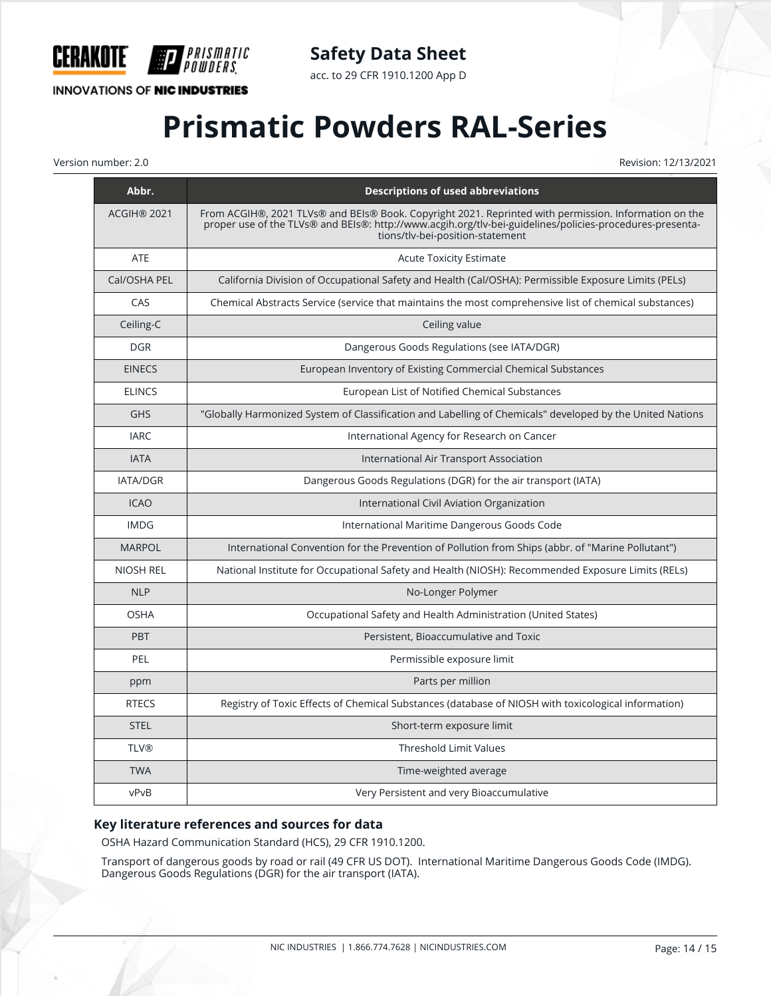

**INNOVATIONS OF NIC INDUSTRIES** 

**P** 

*PRISMATIC<br>Powders* 

acc. to 29 CFR 1910.1200 App D

# **Prismatic Powders RAL-Series**

Version number: 2.0 Revision: 12/13/2021

| Abbr.              | <b>Descriptions of used abbreviations</b>                                                                                                                                                                                                             |
|--------------------|-------------------------------------------------------------------------------------------------------------------------------------------------------------------------------------------------------------------------------------------------------|
| <b>ACGIH® 2021</b> | From ACGIH®, 2021 TLVs® and BEIs® Book. Copyright 2021. Reprinted with permission. Information on the<br>proper use of the TLVs® and BEIs®: http://www.acgih.org/tlv-bei-guidelines/policies-procedures-presenta-<br>tions/tlv-bei-position-statement |
| ATE                | <b>Acute Toxicity Estimate</b>                                                                                                                                                                                                                        |
| Cal/OSHA PEL       | California Division of Occupational Safety and Health (Cal/OSHA): Permissible Exposure Limits (PELs)                                                                                                                                                  |
| CAS                | Chemical Abstracts Service (service that maintains the most comprehensive list of chemical substances)                                                                                                                                                |
| Ceiling-C          | Ceiling value                                                                                                                                                                                                                                         |
| <b>DGR</b>         | Dangerous Goods Regulations (see IATA/DGR)                                                                                                                                                                                                            |
| <b>EINECS</b>      | European Inventory of Existing Commercial Chemical Substances                                                                                                                                                                                         |
| <b>ELINCS</b>      | European List of Notified Chemical Substances                                                                                                                                                                                                         |
| <b>GHS</b>         | "Globally Harmonized System of Classification and Labelling of Chemicals" developed by the United Nations                                                                                                                                             |
| <b>IARC</b>        | International Agency for Research on Cancer                                                                                                                                                                                                           |
| <b>IATA</b>        | International Air Transport Association                                                                                                                                                                                                               |
| <b>IATA/DGR</b>    | Dangerous Goods Regulations (DGR) for the air transport (IATA)                                                                                                                                                                                        |
| <b>ICAO</b>        | International Civil Aviation Organization                                                                                                                                                                                                             |
| <b>IMDG</b>        | International Maritime Dangerous Goods Code                                                                                                                                                                                                           |
| <b>MARPOL</b>      | International Convention for the Prevention of Pollution from Ships (abbr. of "Marine Pollutant")                                                                                                                                                     |
| <b>NIOSH REL</b>   | National Institute for Occupational Safety and Health (NIOSH): Recommended Exposure Limits (RELs)                                                                                                                                                     |
| <b>NLP</b>         | No-Longer Polymer                                                                                                                                                                                                                                     |
| <b>OSHA</b>        | Occupational Safety and Health Administration (United States)                                                                                                                                                                                         |
| <b>PBT</b>         | Persistent, Bioaccumulative and Toxic                                                                                                                                                                                                                 |
| PEL                | Permissible exposure limit                                                                                                                                                                                                                            |
| ppm                | Parts per million                                                                                                                                                                                                                                     |
| <b>RTECS</b>       | Registry of Toxic Effects of Chemical Substances (database of NIOSH with toxicological information)                                                                                                                                                   |
| <b>STEL</b>        | Short-term exposure limit                                                                                                                                                                                                                             |
| <b>TLV®</b>        | <b>Threshold Limit Values</b>                                                                                                                                                                                                                         |
| <b>TWA</b>         | Time-weighted average                                                                                                                                                                                                                                 |
| vPvB               | Very Persistent and very Bioaccumulative                                                                                                                                                                                                              |

## **Key literature references and sources for data**

OSHA Hazard Communication Standard (HCS), 29 CFR 1910.1200.

Transport of dangerous goods by road or rail (49 CFR US DOT). International Maritime Dangerous Goods Code (IMDG). Dangerous Goods Regulations (DGR) for the air transport (IATA).